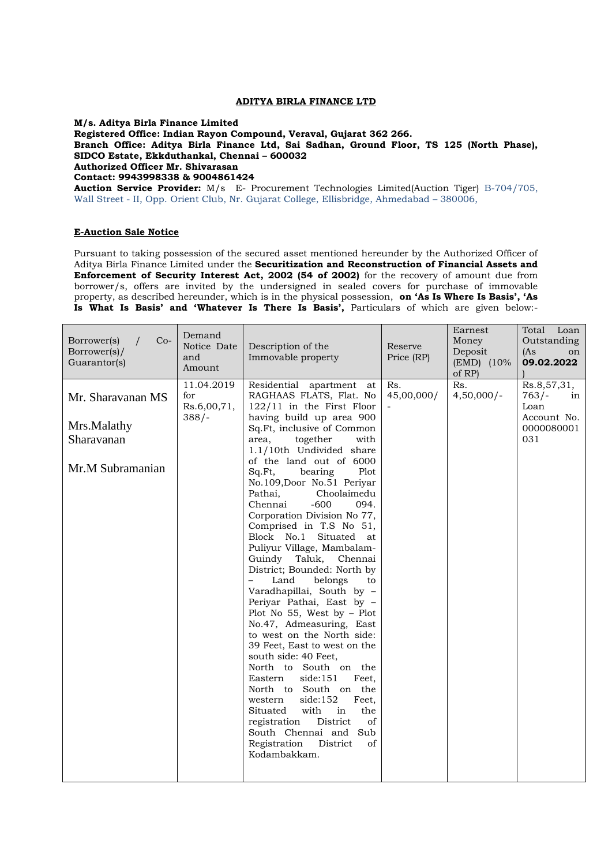## **ADITYA BIRLA FINANCE LTD**

**M/s. Aditya Birla Finance Limited** 

**Registered Office: Indian Rayon Compound, Veraval, Gujarat 362 266.**

**Branch Office: Aditya Birla Finance Ltd, Sai Sadhan, Ground Floor, TS 125 (North Phase), SIDCO Estate, Ekkduthankal, Chennai – 600032**

**Authorized Officer Mr. Shivarasan**

**Contact: 9943998338 & 9004861424**

**Auction Service Provider:** M/s E- Procurement Technologies Limited(Auction Tiger) B-704/705, Wall Street - II, Opp. Orient Club, Nr. Gujarat College, Ellisbridge, Ahmedabad – 380006,

## **E-Auction Sale Notice**

Pursuant to taking possession of the secured asset mentioned hereunder by the Authorized Officer of Aditya Birla Finance Limited under the **Securitization and Reconstruction of Financial Assets and Enforcement of Security Interest Act, 2002 (54 of 2002)** for the recovery of amount due from borrower/s, offers are invited by the undersigned in sealed covers for purchase of immovable property, as described hereunder, which is in the physical possession, **on 'As Is Where Is Basis', 'As Is What Is Basis' and 'Whatever Is There Is Basis',** Particulars of which are given below:-

| Borrower(s)<br>$Co-$<br>Borrower(s)/<br>Guarantor(s)               | Demand<br>Notice Date<br>and<br>Amount      | Description of the<br>Immovable property                                                                                                                                                                                                                                                                                                                                                                                                                                                                                                                                                                                                                                                                                                                                                                                                                                                                                                                                                                                           | Reserve<br>Price (RP) | Earnest<br>Money<br>Deposit<br>$(EMD)$ (10%)<br>of RP) | Total Loan<br>Outstanding<br>(As<br>on<br>09.02.2022                     |
|--------------------------------------------------------------------|---------------------------------------------|------------------------------------------------------------------------------------------------------------------------------------------------------------------------------------------------------------------------------------------------------------------------------------------------------------------------------------------------------------------------------------------------------------------------------------------------------------------------------------------------------------------------------------------------------------------------------------------------------------------------------------------------------------------------------------------------------------------------------------------------------------------------------------------------------------------------------------------------------------------------------------------------------------------------------------------------------------------------------------------------------------------------------------|-----------------------|--------------------------------------------------------|--------------------------------------------------------------------------|
| Mr. Sharavanan MS<br>Mrs.Malathy<br>Sharavanan<br>Mr.M Subramanian | 11.04.2019<br>for<br>Rs.6,00,71,<br>$388/-$ | Residential apartment<br>at<br>RAGHAAS FLATS, Flat. No<br>122/11 in the First Floor<br>having build up area 900<br>Sq.Ft, inclusive of Common<br>area.<br>together<br>with<br>1.1/10th Undivided share<br>of the land out of 6000<br>Sq.Ft,<br>bearing<br>Plot<br>No.109, Door No.51 Periyar<br>Pathai,<br>Choolaimedu<br>Chennai<br>$-600$<br>094.<br>Corporation Division No 77,<br>Comprised in T.S No 51,<br>Block No.1 Situated at<br>Puliyur Village, Mambalam-<br>Guindy Taluk, Chennai<br>District; Bounded: North by<br>Land<br>belongs<br>to<br>Varadhapillai, South by -<br>Periyar Pathai, East by -<br>Plot No 55, West by $-$ Plot<br>No.47, Admeasuring, East<br>to west on the North side:<br>39 Feet, East to west on the<br>south side: 40 Feet.<br>North to South on the<br>Eastern<br>side:151<br>Feet.<br>North to South on the<br>side:152<br>Feet,<br>western<br>Situated<br>with<br>in<br>the<br>registration<br>District<br>οf<br>South Chennai and Sub<br>Registration<br>District<br>of<br>Kodambakkam. | Rs.<br>45,00,000/     | Rs.<br>$4,50,000/-$                                    | Rs.8,57,31,<br>$763/-$<br>in<br>Loan<br>Account No.<br>0000080001<br>031 |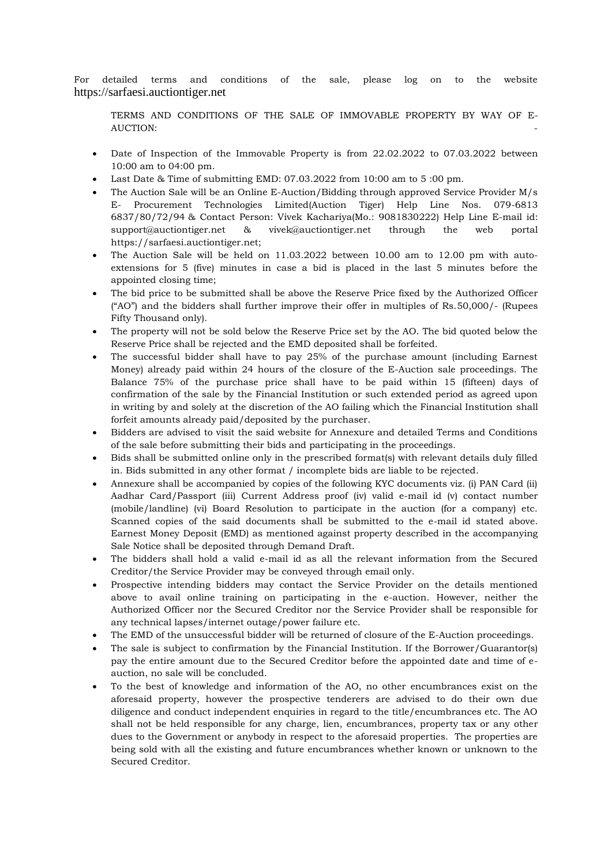For detailed terms and conditions of the sale, please log on to the website [https://sarfaesi.auctiontiger.net](https://sarfaesi.auctiontiger.net/)

TERMS AND CONDITIONS OF THE SALE OF IMMOVABLE PROPERTY BY WAY OF E-AUCTION: the contract of the contract of the contract of the contract of the contract of the contract of the contract of the contract of the contract of the contract of the contract of the contract of the contract of the c

- Date of Inspection of the Immovable Property is from 22.02.2022 to 07.03.2022 between 10:00 am to 04:00 pm.
- Last Date & Time of submitting EMD: 07.03.2022 from 10:00 am to 5 :00 pm.
- The Auction Sale will be an Online E-Auction/Bidding through approved Service Provider M/s E- Procurement Technologies Limited(Auction Tiger) Help Line Nos. 079-6813 6837/80/72/94 & Contact Person: Vivek Kachariya(Mo.: 9081830222) Help Line E-mail id: [support@auctiontiger.net](mailto:support@auctiontiger.net) & vivek@auctiontiger.net through the web portal [https://sarfaesi.auctiontiger.net;](https://sarfaesi.auctiontiger.net/)
- The Auction Sale will be held on 11.03.2022 between 10.00 am to 12.00 pm with autoextensions for 5 (five) minutes in case a bid is placed in the last 5 minutes before the appointed closing time;
- The bid price to be submitted shall be above the Reserve Price fixed by the Authorized Officer ("AO") and the bidders shall further improve their offer in multiples of Rs.50,000/- (Rupees Fifty Thousand only).
- The property will not be sold below the Reserve Price set by the AO. The bid quoted below the Reserve Price shall be rejected and the EMD deposited shall be forfeited.
- The successful bidder shall have to pay 25% of the purchase amount (including Earnest Money) already paid within 24 hours of the closure of the E-Auction sale proceedings. The Balance 75% of the purchase price shall have to be paid within 15 (fifteen) days of confirmation of the sale by the Financial Institution or such extended period as agreed upon in writing by and solely at the discretion of the AO failing which the Financial Institution shall forfeit amounts already paid/deposited by the purchaser.
- Bidders are advised to visit the said website for Annexure and detailed Terms and Conditions of the sale before submitting their bids and participating in the proceedings.
- Bids shall be submitted online only in the prescribed format(s) with relevant details duly filled in. Bids submitted in any other format / incomplete bids are liable to be rejected.
- Annexure shall be accompanied by copies of the following KYC documents viz. (i) PAN Card (ii) Aadhar Card/Passport (iii) Current Address proof (iv) valid e-mail id (v) contact number (mobile/landline) (vi) Board Resolution to participate in the auction (for a company) etc. Scanned copies of the said documents shall be submitted to the e-mail id stated above. Earnest Money Deposit (EMD) as mentioned against property described in the accompanying Sale Notice shall be deposited through Demand Draft.
- The bidders shall hold a valid e-mail id as all the relevant information from the Secured Creditor/the Service Provider may be conveyed through email only.
- Prospective intending bidders may contact the Service Provider on the details mentioned above to avail online training on participating in the e-auction. However, neither the Authorized Officer nor the Secured Creditor nor the Service Provider shall be responsible for any technical lapses/internet outage/power failure etc.
- The EMD of the unsuccessful bidder will be returned of closure of the E-Auction proceedings.
- The sale is subject to confirmation by the Financial Institution. If the Borrower/Guarantor(s) pay the entire amount due to the Secured Creditor before the appointed date and time of eauction, no sale will be concluded.
- To the best of knowledge and information of the AO, no other encumbrances exist on the aforesaid property, however the prospective tenderers are advised to do their own due diligence and conduct independent enquiries in regard to the title/encumbrances etc. The AO shall not be held responsible for any charge, lien, encumbrances, property tax or any other dues to the Government or anybody in respect to the aforesaid properties. The properties are being sold with all the existing and future encumbrances whether known or unknown to the Secured Creditor.